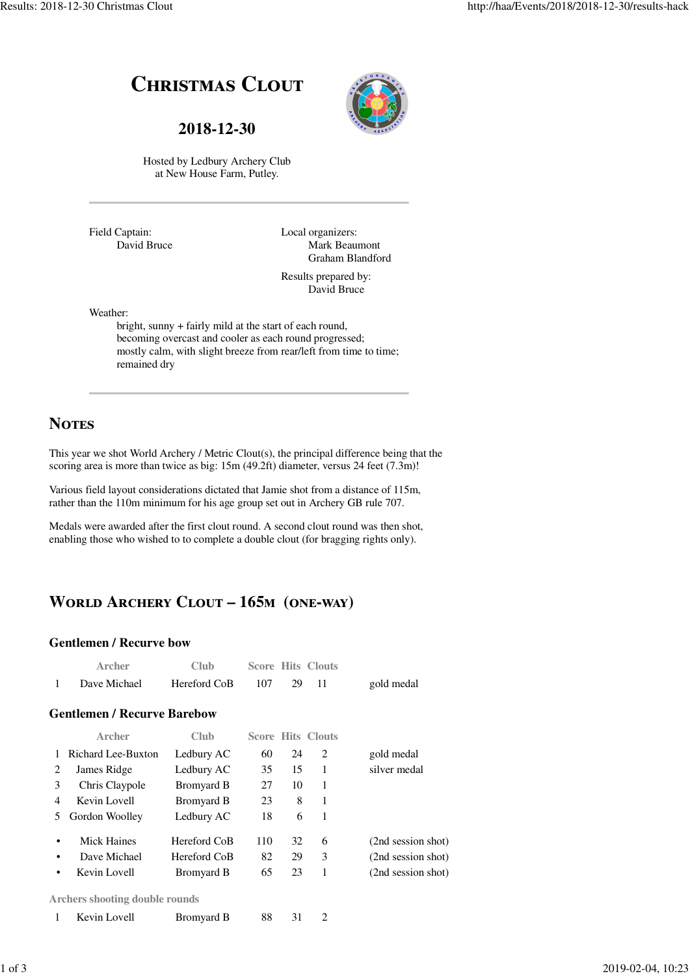# **CHRISTMAS CLOUT**

**2018-12-30**



Hosted by Ledbury Archery Club at New House Farm, Putley.

Field Captain: David Bruce Local organizers: Mark Beaumont Graham Blandford

Results prepared by: David Bruce

Weather:

bright, sunny + fairly mild at the start of each round, becoming overcast and cooler as each round progressed; mostly calm, with slight breeze from rear/left from time to time; remained dry

### **NOTES**

This year we shot World Archery / Metric Clout(s), the principal difference being that the scoring area is more than twice as big: 15m (49.2ft) diameter, versus 24 feet (7.3m)!

Various field layout considerations dictated that Jamie shot from a distance of 115m, rather than the 110m minimum for his age group set out in Archery GB rule 707.

Medals were awarded after the first clout round. A second clout round was then shot, enabling those who wished to to complete a double clout (for bragging rights only).

# **WORLD ARCHERY CLOUT - 165<sub>M</sub> (ONE-WAY)**

1 Kevin Lovell Bromyard B 88 31 2

#### **Gentlemen / Recurve bow**

| Archer       | Club.        |     | <b>Score Hits Clouts</b> |            |
|--------------|--------------|-----|--------------------------|------------|
| Dave Michael | Hereford CoB | 107 |                          | gold medal |

#### **Gentlemen / Recurve Barebow**

|                                       | Archer             | Club              |     |    | <b>Score Hits Clouts</b> |                    |  |
|---------------------------------------|--------------------|-------------------|-----|----|--------------------------|--------------------|--|
|                                       | Richard Lee-Buxton | Ledbury AC        | 60  | 24 | 2                        | gold medal         |  |
| 2                                     | James Ridge        | Ledbury AC        | 35  | 15 | 1                        | silver medal       |  |
| 3                                     | Chris Claypole     | <b>Bromyard B</b> | 27  | 10 | 1                        |                    |  |
| 4                                     | Kevin Lovell       | Bromyard B        | 23  | 8  | 1                        |                    |  |
| 5.                                    | Gordon Woolley     | Ledbury AC        | 18  | 6  | 1                        |                    |  |
| ٠                                     | Mick Haines        | Hereford CoB      | 110 | 32 | 6                        | (2nd session shot) |  |
| ٠                                     | Dave Michael       | Hereford CoB      | 82  | 29 | 3                        | (2nd session shot) |  |
| ٠                                     | Kevin Lovell       | <b>Bromyard B</b> | 65  | 23 | 1                        | (2nd session shot) |  |
| <b>Archers shooting double rounds</b> |                    |                   |     |    |                          |                    |  |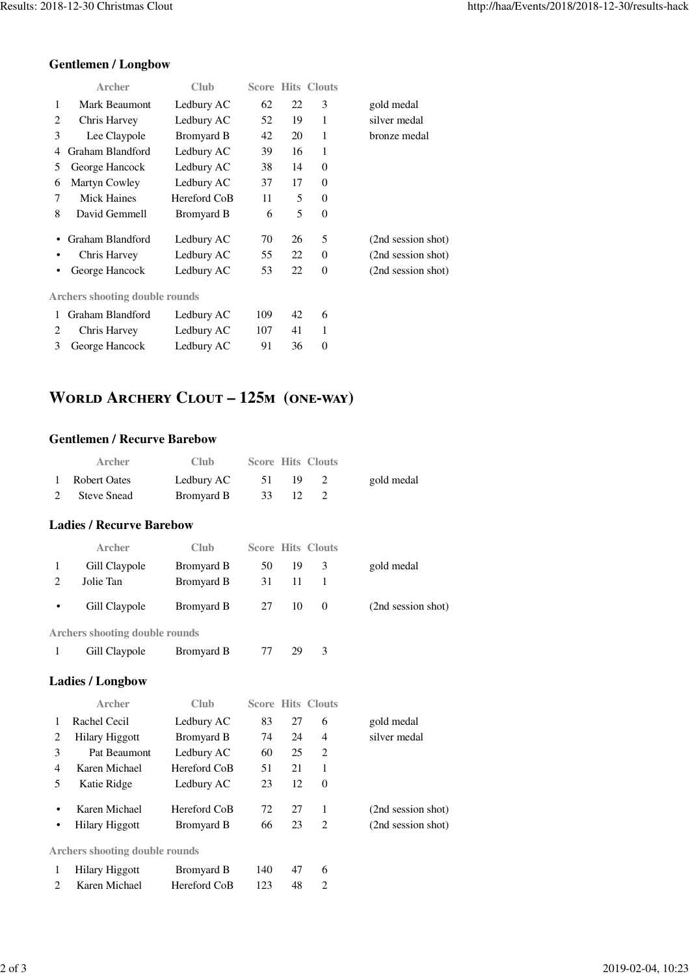### **Gentlemen / Longbow**

|   | Archer                                | Club         |     |    | <b>Score Hits Clouts</b> |                    |
|---|---------------------------------------|--------------|-----|----|--------------------------|--------------------|
| 1 | Mark Beaumont                         | Ledbury AC   | 62  | 22 | 3                        | gold medal         |
| 2 | Chris Harvey                          | Ledbury AC   | 52  | 19 | 1                        | silver medal       |
| 3 | Lee Claypole                          | Bromyard B   | 42  | 20 | 1                        | bronze medal       |
| 4 | Graham Blandford                      | Ledbury AC   | 39  | 16 | 1                        |                    |
| 5 | George Hancock                        | Ledbury AC   | 38  | 14 | $\theta$                 |                    |
| 6 | Martyn Cowley                         | Ledbury AC   | 37  | 17 | $\theta$                 |                    |
| 7 | <b>Mick Haines</b>                    | Hereford CoB | 11  | 5  | $\theta$                 |                    |
| 8 | David Gemmell                         | Bromyard B   | 6   | 5  | $\Omega$                 |                    |
|   | Graham Blandford                      | Ledbury AC   | 70  | 26 | 5                        | (2nd session shot) |
|   | Chris Harvey                          | Ledbury AC   | 55  | 22 | $\theta$                 | (2nd session shot) |
| ٠ | George Hancock                        | Ledbury AC   | 53  | 22 | $\theta$                 | (2nd session shot) |
|   | <b>Archers shooting double rounds</b> |              |     |    |                          |                    |
| 1 | Graham Blandford                      | Ledbury AC   | 109 | 42 | 6                        |                    |
| 2 | Chris Harvey                          | Ledbury AC   | 107 | 41 | 1                        |                    |
| 3 | George Hancock                        | Ledbury AC   | 91  | 36 | $\theta$                 |                    |
|   |                                       |              |     |    |                          |                    |

## **WORLD ARCHERY CLOUT - 125M (ONE-WAY)**

### **Gentlemen / Recurve Barebow**

| <b>Archer</b>  | Club       |       | <b>Score Hits Clouts</b> |            |
|----------------|------------|-------|--------------------------|------------|
| 1 Robert Oates | Ledbury AC | 51 19 |                          | gold medal |
| 2 Steve Snead  | Bromyard B | 33 12 |                          |            |

#### **Ladies / Recurve Barebow**

|           | Archer                                | Club       |    |    | <b>Score Hits Clouts</b> |                    |
|-----------|---------------------------------------|------------|----|----|--------------------------|--------------------|
|           | Gill Claypole                         | Bromyard B | 50 | 19 | 3                        | gold medal         |
|           | Jolie Tan                             | Bromyard B | 31 | 11 |                          |                    |
| $\bullet$ | Gill Claypole                         | Bromyard B | 27 | 10 | $\left($                 | (2nd session shot) |
|           | <b>Archers shooting double rounds</b> |            |    |    |                          |                    |
|           | Gill Claypole                         | Bromyard B | 77 | 29 | 3                        |                    |

#### **Ladies / Longbow**

|                                       | Archer                | Club         |     |    | <b>Score Hits Clouts</b> |                    |  |
|---------------------------------------|-----------------------|--------------|-----|----|--------------------------|--------------------|--|
| 1                                     | Rachel Cecil          | Ledbury AC   | 83  | 27 | 6                        | gold medal         |  |
| 2                                     | <b>Hilary Higgott</b> | Bromyard B   | 74  | 24 | $\overline{4}$           | silver medal       |  |
| 3                                     | Pat Beaumont          | Ledbury AC   | 60  | 25 | 2                        |                    |  |
| 4                                     | Karen Michael         | Hereford CoB | 51  | 21 | 1                        |                    |  |
| 5                                     | Katie Ridge           | Ledbury AC   | 23  | 12 | $\theta$                 |                    |  |
| ٠                                     | Karen Michael         | Hereford CoB | 72  | 27 | 1                        | (2nd session shot) |  |
| $\bullet$                             | Hilary Higgott        | Bromyard B   | 66  | 23 | 2                        | (2nd session shot) |  |
| <b>Archers shooting double rounds</b> |                       |              |     |    |                          |                    |  |
| 1                                     | <b>Hilary Higgott</b> | Bromyard B   | 140 | 47 | 6                        |                    |  |
|                                       | Karen Michael         | Hereford CoB | 123 | 48 | 2                        |                    |  |